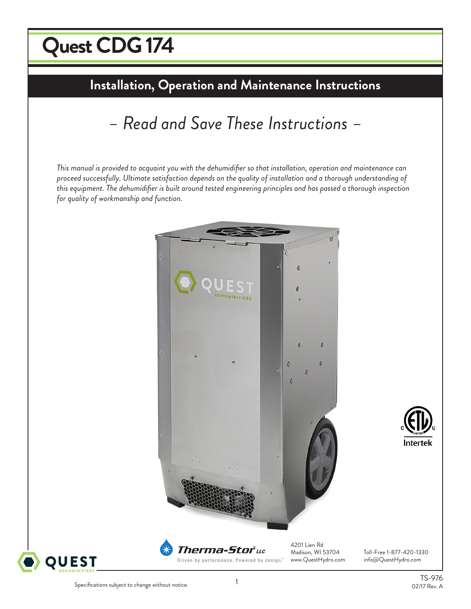# $\sqrt{2}$ **Quest CDG 174**

# **Installation, Operation and Maintenance Instructions**

# *– Read and Save These Instructions –*

*This manual is provided to acquaint you with the dehumidifier so that installation, operation and maintenance can proceed successfully. Ultimate satisfaction depends on the quality of installation and a thorough understanding of this equipment. The dehumidifier is built around tested engineering principles and has passed a thorough inspection for quality of workmanship and function.*





Toll-Free 1-877-420-1330 www.QuestHydro.com info@QuestHydro.com

**Intertek**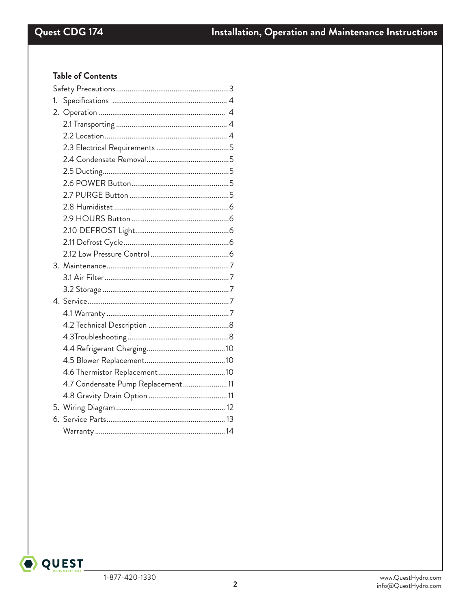# Table of Contents

| 1. |                                    |  |  |  |  |  |
|----|------------------------------------|--|--|--|--|--|
|    |                                    |  |  |  |  |  |
|    |                                    |  |  |  |  |  |
|    |                                    |  |  |  |  |  |
|    |                                    |  |  |  |  |  |
|    |                                    |  |  |  |  |  |
|    |                                    |  |  |  |  |  |
|    |                                    |  |  |  |  |  |
|    |                                    |  |  |  |  |  |
|    |                                    |  |  |  |  |  |
|    |                                    |  |  |  |  |  |
|    |                                    |  |  |  |  |  |
|    |                                    |  |  |  |  |  |
|    |                                    |  |  |  |  |  |
|    |                                    |  |  |  |  |  |
|    |                                    |  |  |  |  |  |
|    |                                    |  |  |  |  |  |
|    |                                    |  |  |  |  |  |
|    |                                    |  |  |  |  |  |
|    |                                    |  |  |  |  |  |
|    |                                    |  |  |  |  |  |
|    |                                    |  |  |  |  |  |
|    |                                    |  |  |  |  |  |
|    |                                    |  |  |  |  |  |
|    | 4.7 Condensate Pump Replacement 11 |  |  |  |  |  |
|    |                                    |  |  |  |  |  |
|    |                                    |  |  |  |  |  |
|    |                                    |  |  |  |  |  |
|    |                                    |  |  |  |  |  |

O QUEST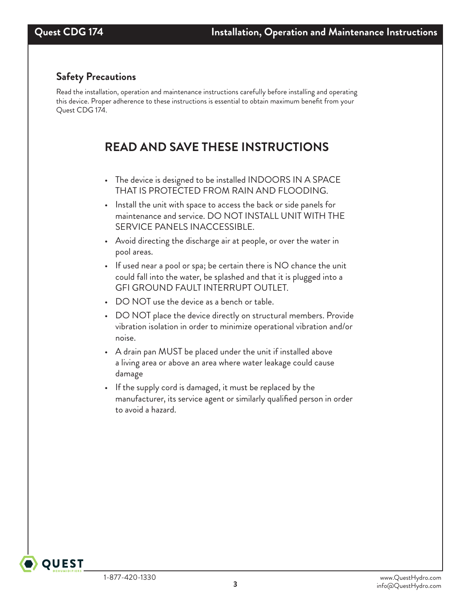# **Safety Precautions**

Read the installation, operation and maintenance instructions carefully before installing and operating this device. Proper adherence to these instructions is essential to obtain maximum benefit from your Quest CDG 174.

# **READ AND SAVE THESE INSTRUCTIONS**

- The device is designed to be installed INDOORS IN A SPACE THAT IS PROTECTED FROM RAIN AND FLOODING.
- Install the unit with space to access the back or side panels for maintenance and service. DO NOT INSTALL UNIT WITH THE SERVICE PANELS INACCESSIBLE.
- Avoid directing the discharge air at people, or over the water in pool areas.
- If used near a pool or spa; be certain there is NO chance the unit could fall into the water, be splashed and that it is plugged into a GFI GROUND FAULT INTERRUPT OUTLET.
- DO NOT use the device as a bench or table.
- DO NOT place the device directly on structural members. Provide vibration isolation in order to minimize operational vibration and/or noise.
- A drain pan MUST be placed under the unit if installed above a living area or above an area where water leakage could cause damage
- If the supply cord is damaged, it must be replaced by the manufacturer, its service agent or similarly qualified person in order to avoid a hazard.

**QUEST**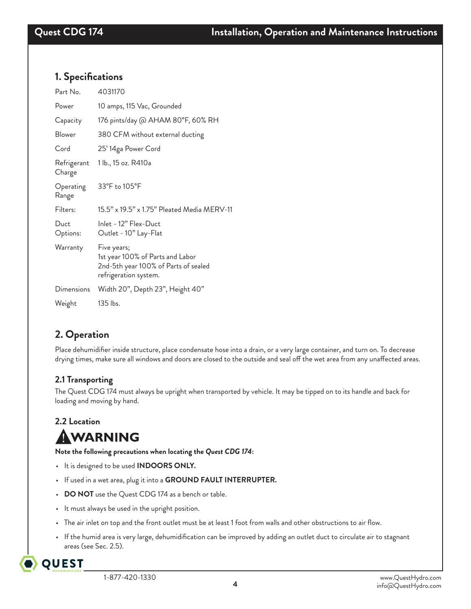## **1. Specifications**

| Part No.              | 4031170                                                                                                          |
|-----------------------|------------------------------------------------------------------------------------------------------------------|
| Power                 | 10 amps, 115 Vac, Grounded                                                                                       |
| Capacity              | 176 pints/day @ AHAM 80°F, 60% RH                                                                                |
| Blower                | 380 CFM without external ducting                                                                                 |
| Cord                  | 25' 14ga Power Cord                                                                                              |
| Refrigerant<br>Charge | 1 lb., 15 oz. R410a                                                                                              |
| Operating<br>Range    | 33°F to 105°F                                                                                                    |
| Filters:              | 15.5" x 19.5" x 1.75" Pleated Media MERV-11                                                                      |
| Duct<br>Options:      | Inlet - 12" Flex-Duct<br>Outlet - 10" Lay-Flat                                                                   |
| Warranty              | Five years;<br>1st year 100% of Parts and Labor<br>2nd-5th year 100% of Parts of sealed<br>refrigeration system. |
| <b>Dimensions</b>     | Width 20", Depth 23", Height 40"                                                                                 |
| Weight                | $135$ lbs.                                                                                                       |

# **2. Operation**

Place dehumidifier inside structure, place condensate hose into a drain, or a very large container, and turn on. To decrease drying times, make sure all windows and doors are closed to the outside and seal off the wet area from any unaffected areas.

## **2.1 Transporting**

The Quest CDG 174 must always be upright when transported by vehicle. It may be tipped on to its handle and back for loading and moving by hand.

# **2.2 Location**

# AWARNING

**Note the following precautions when locating the** *Quest CDG 174***:**

- It is designed to be used **INDOORS ONLY.**
- If used in a wet area, plug it into a **GROUND FAULT INTERRUPTER.**
- **DO NOT** use the Quest CDG 174 as a bench or table.
- It must always be used in the upright position.
- The air inlet on top and the front outlet must be at least 1 foot from walls and other obstructions to air flow.
- If the humid area is very large, dehumidification can be improved by adding an outlet duct to circulate air to stagnant areas (see Sec. 2.5).

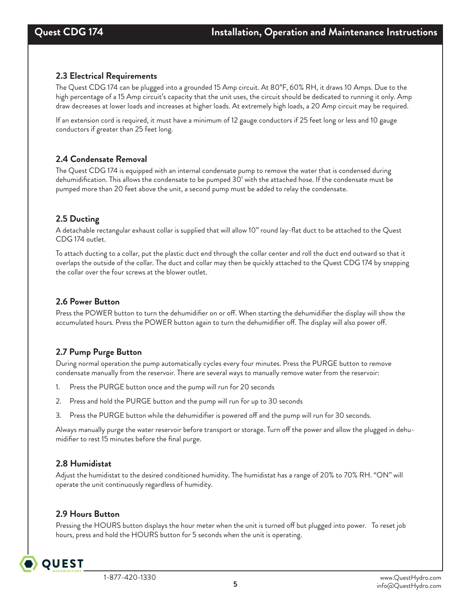#### **2.3 Electrical Requirements**

The Quest CDG 174 can be plugged into a grounded 15 Amp circuit. At 80°F, 60% RH, it draws 10 Amps. Due to the high percentage of a 15 Amp circuit's capacity that the unit uses, the circuit should be dedicated to running it only. Amp draw decreases at lower loads and increases at higher loads. At extremely high loads, a 20 Amp circuit may be required.

If an extension cord is required, it must have a minimum of 12 gauge conductors if 25 feet long or less and 10 gauge conductors if greater than 25 feet long.

#### **2.4 Condensate Removal**

The Quest CDG 174 is equipped with an internal condensate pump to remove the water that is condensed during dehumidification. This allows the condensate to be pumped 30' with the attached hose. If the condensate must be pumped more than 20 feet above the unit, a second pump must be added to relay the condensate.

#### **2.5 Ducting**

A detachable rectangular exhaust collar is supplied that will allow 10" round lay-flat duct to be attached to the Quest CDG 174 outlet.

To attach ducting to a collar, put the plastic duct end through the collar center and roll the duct end outward so that it overlaps the outside of the collar. The duct and collar may then be quickly attached to the Quest CDG 174 by snapping the collar over the four screws at the blower outlet.

#### **2.6 Power Button**

Press the POWER button to turn the dehumidifier on or off. When starting the dehumidifier the display will show the accumulated hours. Press the POWER button again to turn the dehumidifier off. The display will also power off.

## **2.7 Pump Purge Button**

During normal operation the pump automatically cycles every four minutes. Press the PURGE button to remove condensate manually from the reservoir. There are several ways to manually remove water from the reservoir:

- 1. Press the PURGE button once and the pump will run for 20 seconds
- 2. Press and hold the PURGE button and the pump will run for up to 30 seconds
- 3. Press the PURGE button while the dehumidifier is powered off and the pump will run for 30 seconds.

Always manually purge the water reservoir before transport or storage. Turn off the power and allow the plugged in dehumidifier to rest 15 minutes before the final purge.

## **2.8 Humidistat**

Adjust the humidistat to the desired conditioned humidity. The humidistat has a range of 20% to 70% RH. "ON" will operate the unit continuously regardless of humidity.

#### **2.9 Hours Button**

Pressing the HOURS button displays the hour meter when the unit is turned off but plugged into power. To reset job hours, press and hold the HOURS button for 5 seconds when the unit is operating.

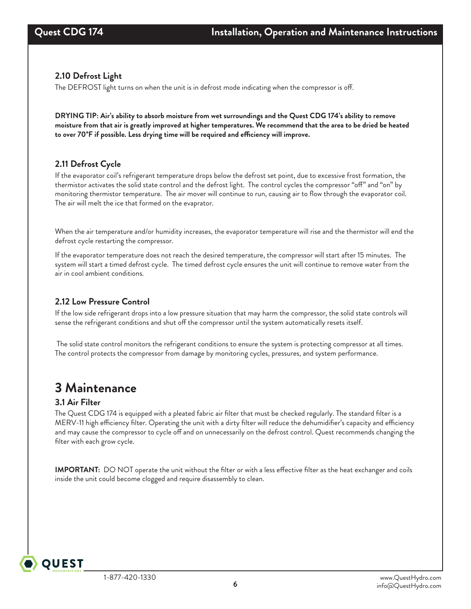## **2.10 Defrost Light**

The DEFROST light turns on when the unit is in defrost mode indicating when the compressor is off.

**DRYING TIP: Air's ability to absorb moisture from wet surroundings and the Quest CDG 174's ability to remove moisture from that air is greatly improved at higher temperatures. We recommend that the area to be dried be heated to over 70°F if possible. Less drying time will be required and efficiency will improve.**

## **2.11 Defrost Cycle**

If the evaporator coil's refrigerant temperature drops below the defrost set point, due to excessive frost formation, the thermistor activates the solid state control and the defrost light. The control cycles the compressor "off" and "on" by monitoring thermistor temperature. The air mover will continue to run, causing air to flow through the evaporator coil. The air will melt the ice that formed on the evaprator.

When the air temperature and/or humidity increases, the evaporator temperature will rise and the thermistor will end the defrost cycle restarting the compressor.

If the evaporator temperature does not reach the desired temperature, the compressor will start after 15 minutes. The system will start a timed defrost cycle. The timed defrost cycle ensures the unit will continue to remove water from the air in cool ambient conditions.

## **2.12 Low Pressure Control**

If the low side refrigerant drops into a low pressure situation that may harm the compressor, the solid state controls will sense the refrigerant conditions and shut off the compressor until the system automatically resets itself.

 The solid state control monitors the refrigerant conditions to ensure the system is protecting compressor at all times. The control protects the compressor from damage by monitoring cycles, pressures, and system performance.

# **3 Maintenance**

## **3.1 Air Filter**

**OUEST** 

The Quest CDG 174 is equipped with a pleated fabric air filter that must be checked regularly. The standard filter is a MERV-11 high efficiency filter. Operating the unit with a dirty filter will reduce the dehumidifier's capacity and efficiency and may cause the compressor to cycle off and on unnecessarily on the defrost control. Quest recommends changing the filter with each grow cycle.

**IMPORTANT:** DO NOT operate the unit without the filter or with a less effective filter as the heat exchanger and coils inside the unit could become clogged and require disassembly to clean.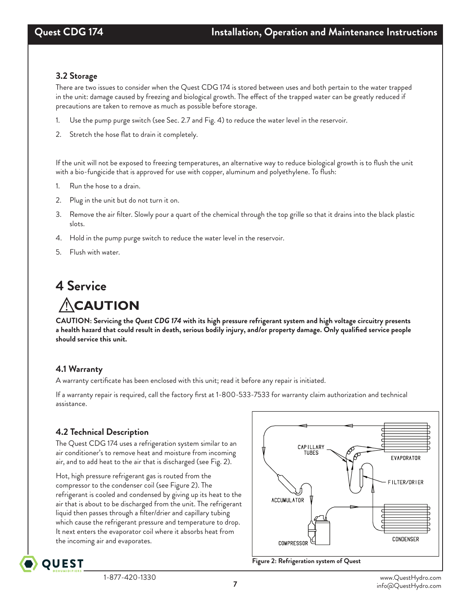#### **3.2 Storage**

There are two issues to consider when the Quest CDG 174 is stored between uses and both pertain to the water trapped in the unit: damage caused by freezing and biological growth. The effect of the trapped water can be greatly reduced if precautions are taken to remove as much as possible before storage.

- 1. Use the pump purge switch (see Sec. 2.7 and Fig. 4) to reduce the water level in the reservoir.
- 2. Stretch the hose flat to drain it completely.

If the unit will not be exposed to freezing temperatures, an alternative way to reduce biological growth is to flush the unit with a bio-fungicide that is approved for use with copper, aluminum and polyethylene. To flush:

- 1. Run the hose to a drain.
- 2. Plug in the unit but do not turn it on.
- 3. Remove the air filter. Slowly pour a quart of the chemical through the top grille so that it drains into the black plastic slots.
- 4. Hold in the pump purge switch to reduce the water level in the reservoir.
- 5. Flush with water.

# **4 Service**

# **ACAUTION**

**CAUTION: Servicing the** *Quest CDG 174* **with its high pressure refrigerant system and high voltage circuitry presents a health hazard that could result in death, serious bodily injury, and/or property damage. Only qualified service people should service this unit.**

## **4.1 Warranty**

A warranty certificate has been enclosed with this unit; read it before any repair is initiated.

If a warranty repair is required, call the factory first at 1-800-533-7533 for warranty claim authorization and technical assistance.

## **4.2 Technical Description**

The Quest CDG 174 uses a refrigeration system similar to an air conditioner's to remove heat and moisture from incoming air, and to add heat to the air that is discharged (see Fig. 2).

Hot, high pressure refrigerant gas is routed from the compressor to the condenser coil (see Figure 2). The refrigerant is cooled and condensed by giving up its heat to the air that is about to be discharged from the unit. The refrigerant liquid then passes through a filter/drier and capillary tubing which cause the refrigerant pressure and temperature to drop. It next enters the evaporator coil where it absorbs heat from the incoming air and evaporates.



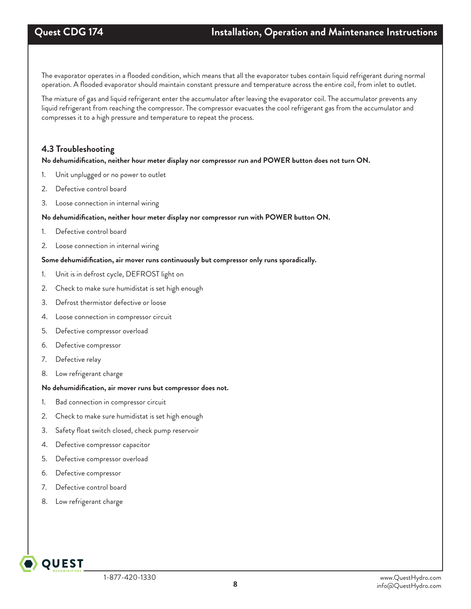The evaporator operates in a flooded condition, which means that all the evaporator tubes contain liquid refrigerant during normal operation. A flooded evaporator should maintain constant pressure and temperature across the entire coil, from inlet to outlet.

The mixture of gas and liquid refrigerant enter the accumulator after leaving the evaporator coil. The accumulator prevents any liquid refrigerant from reaching the compressor. The compressor evacuates the cool refrigerant gas from the accumulator and compresses it to a high pressure and temperature to repeat the process.

#### **4.3 Troubleshooting**

#### **No dehumidification, neither hour meter display nor compressor run and POWER button does not turn ON.**

- 1. Unit unplugged or no power to outlet
- 2. Defective control board
- 3. Loose connection in internal wiring

#### **No dehumidification, neither hour meter display nor compressor run with POWER button ON.**

- 1. Defective control board
- 2. Loose connection in internal wiring

#### **Some dehumidification, air mover runs continuously but compressor only runs sporadically.**

- 1. Unit is in defrost cycle, DEFROST light on
- 2. Check to make sure humidistat is set high enough
- 3. Defrost thermistor defective or loose
- 4. Loose connection in compressor circuit
- 5. Defective compressor overload
- 6. Defective compressor
- 7. Defective relay
- 8. Low refrigerant charge

#### **No dehumidification, air mover runs but compressor does not.**

- 1. Bad connection in compressor circuit
- 2. Check to make sure humidistat is set high enough
- 3. Safety float switch closed, check pump reservoir
- 4. Defective compressor capacitor
- 5. Defective compressor overload
- 6. Defective compressor
- 7. Defective control board
- 8. Low refrigerant charge

**OUEST**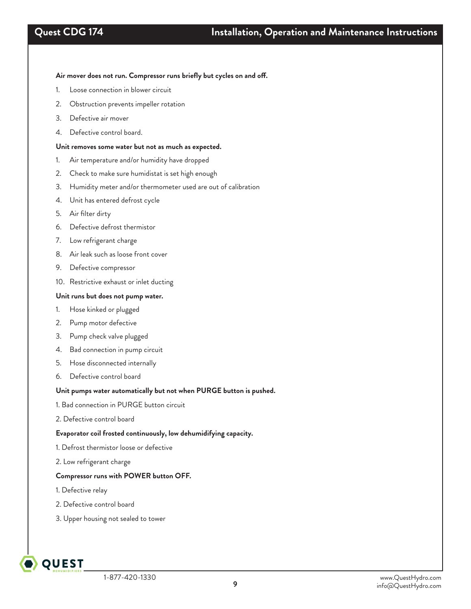#### **Air mover does not run. Compressor runs briefly but cycles on and off.**

- 1. Loose connection in blower circuit
- 2. Obstruction prevents impeller rotation
- 3. Defective air mover
- 4. Defective control board.

#### **Unit removes some water but not as much as expected.**

- 1. Air temperature and/or humidity have dropped
- 2. Check to make sure humidistat is set high enough
- 3. Humidity meter and/or thermometer used are out of calibration
- 4. Unit has entered defrost cycle
- 5. Air filter dirty
- 6. Defective defrost thermistor
- 7. Low refrigerant charge
- 8. Air leak such as loose front cover
- 9. Defective compressor
- 10. Restrictive exhaust or inlet ducting

#### **Unit runs but does not pump water.**

- 1. Hose kinked or plugged
- 2. Pump motor defective
- 3. Pump check valve plugged
- 4. Bad connection in pump circuit
- 5. Hose disconnected internally
- 6. Defective control board

#### **Unit pumps water automatically but not when PURGE button is pushed.**

- 1. Bad connection in PURGE button circuit
- 2. Defective control board

#### **Evaporator coil frosted continuously, low dehumidifying capacity.**

- 1. Defrost thermistor loose or defective
- 2. Low refrigerant charge

#### **Compressor runs with POWER button OFF.**

- 1. Defective relay
- 2. Defective control board
- 3. Upper housing not sealed to tower

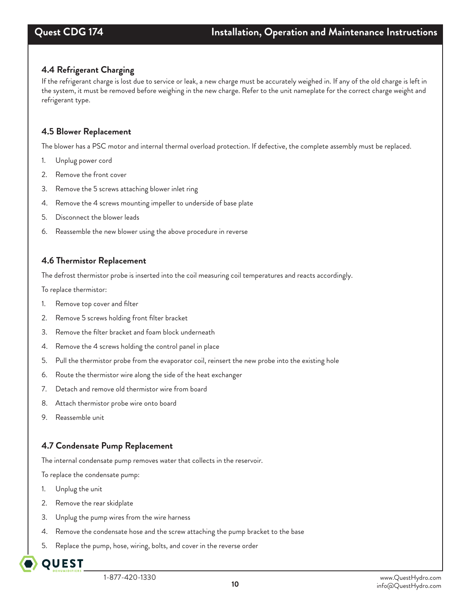## **4.4 Refrigerant Charging**

If the refrigerant charge is lost due to service or leak, a new charge must be accurately weighed in. If any of the old charge is left in the system, it must be removed before weighing in the new charge. Refer to the unit nameplate for the correct charge weight and refrigerant type.

#### **4.5 Blower Replacement**

The blower has a PSC motor and internal thermal overload protection. If defective, the complete assembly must be replaced.

- 1. Unplug power cord
- 2. Remove the front cover
- 3. Remove the 5 screws attaching blower inlet ring
- 4. Remove the 4 screws mounting impeller to underside of base plate
- 5. Disconnect the blower leads
- 6. Reassemble the new blower using the above procedure in reverse

#### **4.6 Thermistor Replacement**

The defrost thermistor probe is inserted into the coil measuring coil temperatures and reacts accordingly.

To replace thermistor:

- 1. Remove top cover and filter
- 2. Remove 5 screws holding front filter bracket
- 3. Remove the filter bracket and foam block underneath
- 4. Remove the 4 screws holding the control panel in place
- 5. Pull the thermistor probe from the evaporator coil, reinsert the new probe into the existing hole
- 6. Route the thermistor wire along the side of the heat exchanger
- 7. Detach and remove old thermistor wire from board
- 8. Attach thermistor probe wire onto board
- 9. Reassemble unit

## **4.7 Condensate Pump Replacement**

The internal condensate pump removes water that collects in the reservoir.

To replace the condensate pump:

- 1. Unplug the unit
- 2. Remove the rear skidplate
- 3. Unplug the pump wires from the wire harness
- 4. Remove the condensate hose and the screw attaching the pump bracket to the base
- 5. Replace the pump, hose, wiring, bolts, and cover in the reverse order

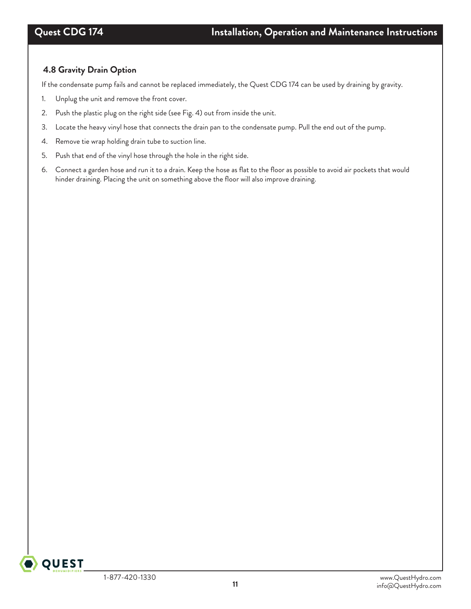## **4.8 Gravity Drain Option**

If the condensate pump fails and cannot be replaced immediately, the Quest CDG 174 can be used by draining by gravity.

- 1. Unplug the unit and remove the front cover.
- 2. Push the plastic plug on the right side (see Fig. 4) out from inside the unit.
- 3. Locate the heavy vinyl hose that connects the drain pan to the condensate pump. Pull the end out of the pump.
- 4. Remove tie wrap holding drain tube to suction line.
- 5. Push that end of the vinyl hose through the hole in the right side.
- 6. Connect a garden hose and run it to a drain. Keep the hose as flat to the floor as possible to avoid air pockets that would hinder draining. Placing the unit on something above the floor will also improve draining.

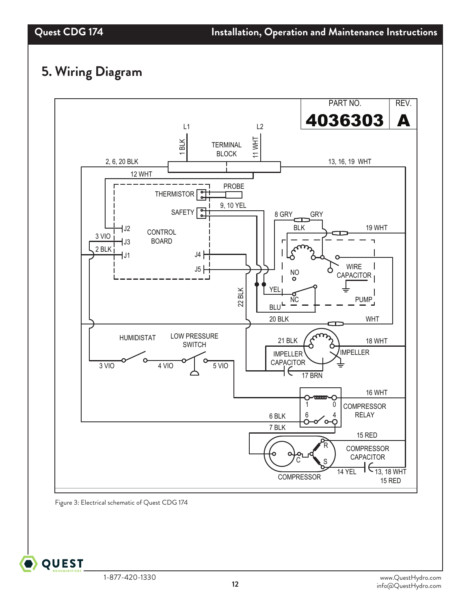# **5. Wiring Diagram**



Figure 3: Electrical schematic of Quest CDG 174

**QUEST**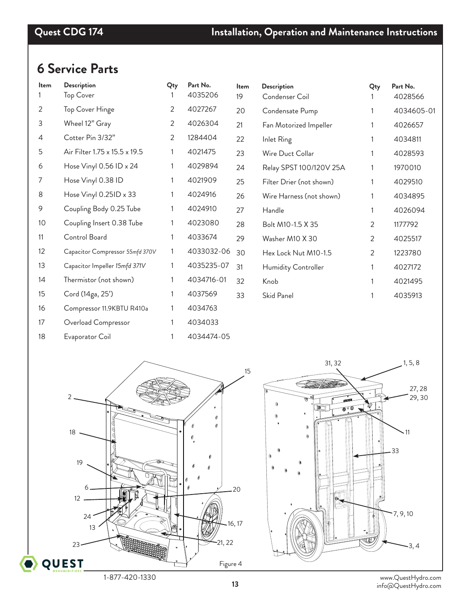# **6 Service Parts**

| ltem           | Description                     | Qty | Part No.   | Item | Description              | Qty | Part No.   |
|----------------|---------------------------------|-----|------------|------|--------------------------|-----|------------|
|                | <b>Top Cover</b>                |     | 4035206    | 19   | Condenser Coil           |     | 4028566    |
| 2              | Top Cover Hinge                 | 2   | 4027267    | 20   | Condensate Pump          |     | 4034605-01 |
| 3              | Wheel 12" Gray                  | 2   | 4026304    | 21   | Fan Motorized Impeller   |     | 4026657    |
| $\overline{4}$ | Cotter Pin 3/32"                | 2   | 1284404    | 22   | Inlet Ring               |     | 4034811    |
| 5              | Air Filter 1.75 x 15.5 x 19.5   | 1   | 4021475    | 23   | Wire Duct Collar         |     | 4028593    |
| 6              | Hose Vinyl 0.56 ID x 24         | 1   | 4029894    | 24   | Relay SPST 100/120V 25A  | 1   | 1970010    |
| 7              | Hose Vinyl 0.38 ID              | 1   | 4021909    | 25   | Filter Drier (not shown) | 1   | 4029510    |
| 8              | Hose Vinyl 0.25ID x 33          |     | 4024916    | 26   | Wire Harness (not shown) |     | 4034895    |
| 9              | Coupling Body 0.25 Tube         |     | 4024910    | 27   | Handle                   | 1   | 4026094    |
| 10             | Coupling Insert 0.38 Tube       |     | 4023080    | 28   | Bolt M10-1.5 X 35        | 2   | 1177792    |
| 11             | Control Board                   |     | 4033674    | 29   | Washer M10 X 30          | 2   | 4025517    |
| 12             | Capacitor Compressor 55mfd 370V | 1   | 4033032-06 | 30   | Hex Lock Nut M10-1.5     | 2   | 1223780    |
| 13             | Capacitor Impeller 15mfd 371V   |     | 4035235-07 | 31   | Humidity Controller      | 1   | 4027172    |
| 14             | Thermistor (not shown)          |     | 4034716-01 | 32   | Knob                     | 1   | 4021495    |
| 15             | Cord (14ga, 25')                |     | 4037569    | 33   | Skid Panel               | 1   | 4035913    |
| 16             | Compressor 11.9KBTU R410a       |     | 4034763    |      |                          |     |            |
| 17             | Overload Compressor             |     | 4034033    |      |                          |     |            |
| 18             | Evaporator Coil                 |     | 4034474-05 |      |                          |     |            |